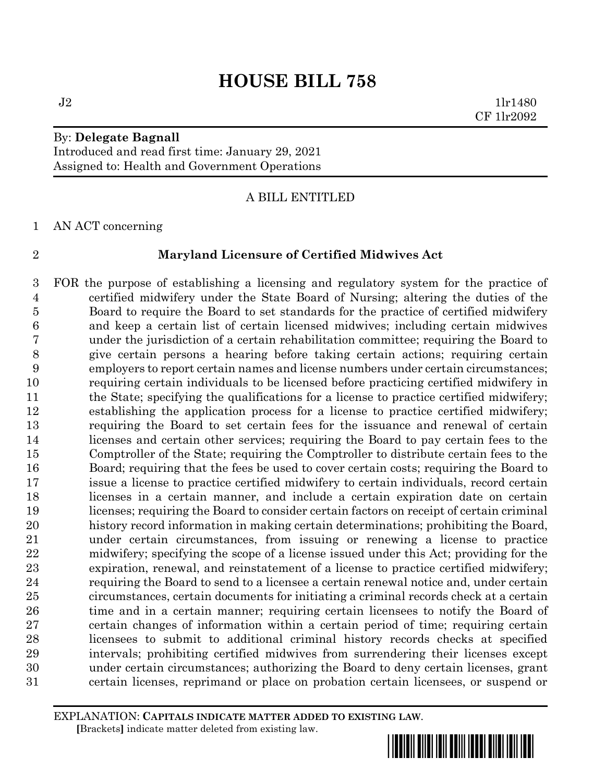By: **Delegate Bagnall** Introduced and read first time: January 29, 2021 Assigned to: Health and Government Operations

### A BILL ENTITLED

AN ACT concerning

#### **Maryland Licensure of Certified Midwives Act**

 FOR the purpose of establishing a licensing and regulatory system for the practice of certified midwifery under the State Board of Nursing; altering the duties of the Board to require the Board to set standards for the practice of certified midwifery and keep a certain list of certain licensed midwives; including certain midwives under the jurisdiction of a certain rehabilitation committee; requiring the Board to give certain persons a hearing before taking certain actions; requiring certain employers to report certain names and license numbers under certain circumstances; requiring certain individuals to be licensed before practicing certified midwifery in the State; specifying the qualifications for a license to practice certified midwifery; establishing the application process for a license to practice certified midwifery; requiring the Board to set certain fees for the issuance and renewal of certain licenses and certain other services; requiring the Board to pay certain fees to the Comptroller of the State; requiring the Comptroller to distribute certain fees to the Board; requiring that the fees be used to cover certain costs; requiring the Board to issue a license to practice certified midwifery to certain individuals, record certain licenses in a certain manner, and include a certain expiration date on certain licenses; requiring the Board to consider certain factors on receipt of certain criminal history record information in making certain determinations; prohibiting the Board, under certain circumstances, from issuing or renewing a license to practice midwifery; specifying the scope of a license issued under this Act; providing for the expiration, renewal, and reinstatement of a license to practice certified midwifery; requiring the Board to send to a licensee a certain renewal notice and, under certain circumstances, certain documents for initiating a criminal records check at a certain 26 time and in a certain manner; requiring certain licensees to notify the Board of certain changes of information within a certain period of time; requiring certain licensees to submit to additional criminal history records checks at specified intervals; prohibiting certified midwives from surrendering their licenses except under certain circumstances; authorizing the Board to deny certain licenses, grant certain licenses, reprimand or place on probation certain licensees, or suspend or

EXPLANATION: **CAPITALS INDICATE MATTER ADDED TO EXISTING LAW**.  **[**Brackets**]** indicate matter deleted from existing law.

 $J2 \t1lr1480$ CF 1lr2092

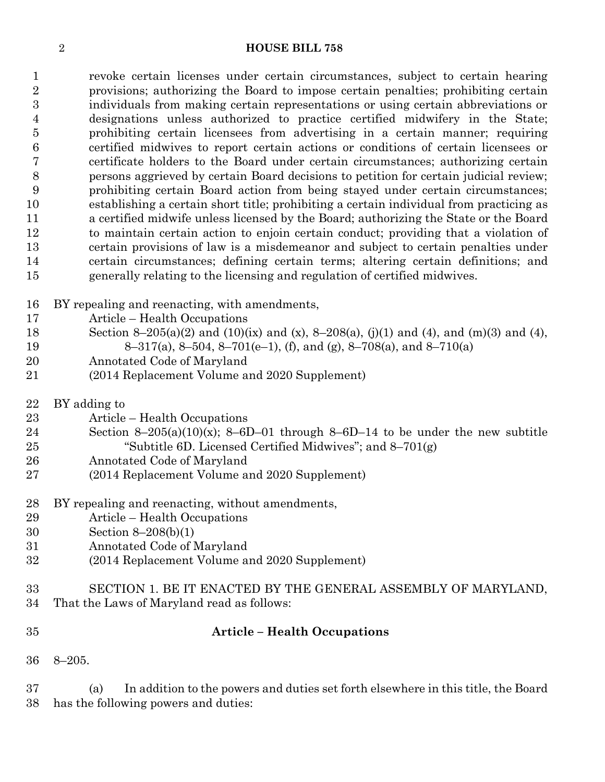revoke certain licenses under certain circumstances, subject to certain hearing provisions; authorizing the Board to impose certain penalties; prohibiting certain individuals from making certain representations or using certain abbreviations or designations unless authorized to practice certified midwifery in the State; prohibiting certain licensees from advertising in a certain manner; requiring certified midwives to report certain actions or conditions of certain licensees or certificate holders to the Board under certain circumstances; authorizing certain persons aggrieved by certain Board decisions to petition for certain judicial review; prohibiting certain Board action from being stayed under certain circumstances; establishing a certain short title; prohibiting a certain individual from practicing as a certified midwife unless licensed by the Board; authorizing the State or the Board to maintain certain action to enjoin certain conduct; providing that a violation of certain provisions of law is a misdemeanor and subject to certain penalties under certain circumstances; defining certain terms; altering certain definitions; and generally relating to the licensing and regulation of certified midwives.

- BY repealing and reenacting, with amendments,
- Article Health Occupations
- 18 Section 8–205(a)(2) and (10)(ix) and (x), 8–208(a), (j)(1) and (4), and (m)(3) and (4),
- 8–317(a), 8–504, 8–701(e–1), (f), and (g), 8–708(a), and 8–710(a)
- Annotated Code of Maryland
- (2014 Replacement Volume and 2020 Supplement)
- BY adding to
- Article Health Occupations
- 24 Section 8–205(a)(10)(x); 8–6D–01 through 8–6D–14 to be under the new subtitle "Subtitle 6D. Licensed Certified Midwives"; and 8–701(g)
- Annotated Code of Maryland
- (2014 Replacement Volume and 2020 Supplement)
- BY repealing and reenacting, without amendments,
- Article Health Occupations
- Section 8–208(b)(1)
- Annotated Code of Maryland
- (2014 Replacement Volume and 2020 Supplement)

## SECTION 1. BE IT ENACTED BY THE GENERAL ASSEMBLY OF MARYLAND, That the Laws of Maryland read as follows:

## **Article – Health Occupations**

8–205.

 (a) In addition to the powers and duties set forth elsewhere in this title, the Board has the following powers and duties: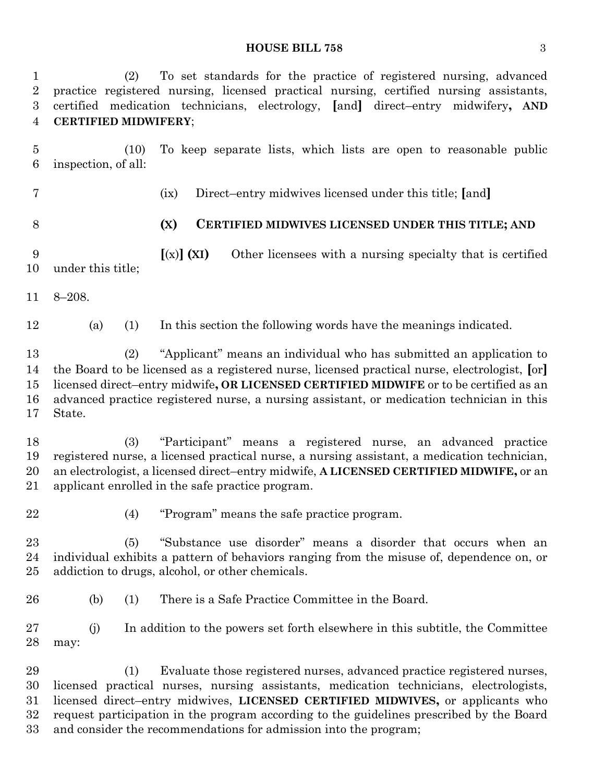## **HOUSE BILL 758** 3

| $\mathbf 1$<br>$\overline{2}$<br>$\boldsymbol{3}$<br>4 | To set standards for the practice of registered nursing, advanced<br>(2)<br>practice registered nursing, licensed practical nursing, certified nursing assistants,<br>certified medication technicians, electrology, [and] direct-entry midwifery, AND<br><b>CERTIFIED MIDWIFERY;</b>                                                                                       |
|--------------------------------------------------------|-----------------------------------------------------------------------------------------------------------------------------------------------------------------------------------------------------------------------------------------------------------------------------------------------------------------------------------------------------------------------------|
| $\overline{5}$<br>6                                    | To keep separate lists, which lists are open to reasonable public<br>(10)<br>inspection, of all:                                                                                                                                                                                                                                                                            |
| 7                                                      | Direct-entry midwives licensed under this title; [and]<br>(ix)                                                                                                                                                                                                                                                                                                              |
| 8                                                      | (X)<br>CERTIFIED MIDWIVES LICENSED UNDER THIS TITLE; AND                                                                                                                                                                                                                                                                                                                    |
| 9<br>10                                                | $[(x)]$ (XI)<br>Other licensees with a nursing specialty that is certified<br>under this title;                                                                                                                                                                                                                                                                             |
| 11                                                     | $8 - 208.$                                                                                                                                                                                                                                                                                                                                                                  |
| 12                                                     | (a)<br>In this section the following words have the meanings indicated.<br>(1)                                                                                                                                                                                                                                                                                              |
| 13<br>14<br>15<br>16<br>17                             | "Applicant" means an individual who has submitted an application to<br>(2)<br>the Board to be licensed as a registered nurse, licensed practical nurse, electrologist, [or]<br>licensed direct-entry midwife, OR LICENSED CERTIFIED MIDWIFE or to be certified as an<br>advanced practice registered nurse, a nursing assistant, or medication technician in this<br>State. |
| 18<br>19<br>20<br>21                                   | (3)<br>"Participant" means a registered nurse, an advanced practice<br>registered nurse, a licensed practical nurse, a nursing assistant, a medication technician,<br>an electrologist, a licensed direct-entry midwife, A LICENSED CERTIFIED MIDWIFE, or an<br>applicant enrolled in the safe practice program.                                                            |
| 22                                                     | "Program" means the safe practice program.<br>(4)                                                                                                                                                                                                                                                                                                                           |
| 23<br>24<br>25                                         | "Substance use disorder" means a disorder that occurs when an<br>(5)<br>individual exhibits a pattern of behaviors ranging from the misuse of, dependence on, or<br>addiction to drugs, alcohol, or other chemicals.                                                                                                                                                        |
| 26                                                     | There is a Safe Practice Committee in the Board.<br>(b)<br>(1)                                                                                                                                                                                                                                                                                                              |
| $27\,$<br>28                                           | (i)<br>In addition to the powers set forth elsewhere in this subtitle, the Committee<br>may:                                                                                                                                                                                                                                                                                |
| 29<br>30<br>$31\,$<br>$32\,$                           | Evaluate those registered nurses, advanced practice registered nurses,<br>(1)<br>licensed practical nurses, nursing assistants, medication technicians, electrologists,<br>licensed direct-entry midwives, LICENSED CERTIFIED MIDWIVES, or applicants who<br>request participation in the program according to the guidelines prescribed by the Board                       |

and consider the recommendations for admission into the program;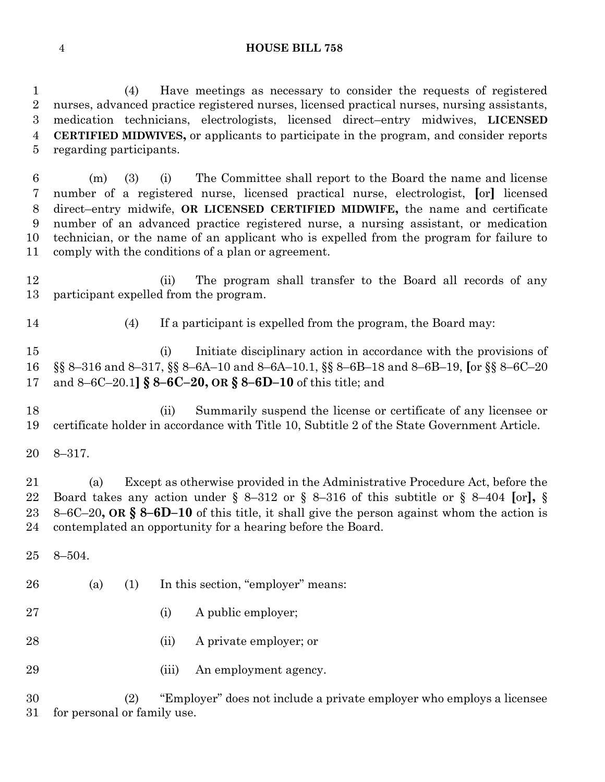(4) Have meetings as necessary to consider the requests of registered nurses, advanced practice registered nurses, licensed practical nurses, nursing assistants, medication technicians, electrologists, licensed direct–entry midwives, **LICENSED CERTIFIED MIDWIVES,** or applicants to participate in the program, and consider reports regarding participants.

 (m) (3) (i) The Committee shall report to the Board the name and license number of a registered nurse, licensed practical nurse, electrologist, **[**or**]** licensed direct–entry midwife, **OR LICENSED CERTIFIED MIDWIFE,** the name and certificate number of an advanced practice registered nurse, a nursing assistant, or medication technician, or the name of an applicant who is expelled from the program for failure to comply with the conditions of a plan or agreement.

 (ii) The program shall transfer to the Board all records of any participant expelled from the program.

(4) If a participant is expelled from the program, the Board may:

 (i) Initiate disciplinary action in accordance with the provisions of §§ 8–316 and 8–317, §§ 8–6A–10 and 8–6A–10.1, §§ 8–6B–18 and 8–6B–19, **[**or §§ 8–6C–20 and 8–6C–20.1**] § 8–6C–20, OR § 8–6D–10** of this title; and

 (ii) Summarily suspend the license or certificate of any licensee or certificate holder in accordance with Title 10, Subtitle 2 of the State Government Article.

8–317.

 (a) Except as otherwise provided in the Administrative Procedure Act, before the Board takes any action under § 8–312 or § 8–316 of this subtitle or § 8–404 **[**or**],** § 8–6C–20**, OR § 8–6D–10** of this title, it shall give the person against whom the action is contemplated an opportunity for a hearing before the Board.

- 8–504.
- (a) (1) In this section, "employer" means:
- 27 (i) A public employer;
- (ii) A private employer; or
- 29 (iii) An employment agency.

 (2) "Employer" does not include a private employer who employs a licensee for personal or family use.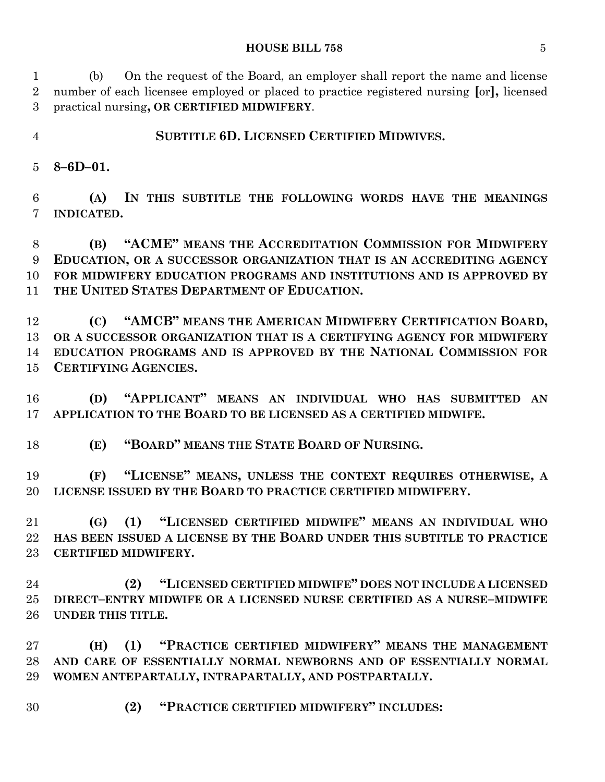#### **HOUSE BILL 758** 5

 (b) On the request of the Board, an employer shall report the name and license number of each licensee employed or placed to practice registered nursing **[**or**],** licensed practical nursing**, OR CERTIFIED MIDWIFERY**.

**SUBTITLE 6D. LICENSED CERTIFIED MIDWIVES.**

**8–6D–01.**

 **(A) IN THIS SUBTITLE THE FOLLOWING WORDS HAVE THE MEANINGS INDICATED.**

 **(B) "ACME" MEANS THE ACCREDITATION COMMISSION FOR MIDWIFERY EDUCATION, OR A SUCCESSOR ORGANIZATION THAT IS AN ACCREDITING AGENCY FOR MIDWIFERY EDUCATION PROGRAMS AND INSTITUTIONS AND IS APPROVED BY THE UNITED STATES DEPARTMENT OF EDUCATION.**

 **(C) "AMCB" MEANS THE AMERICAN MIDWIFERY CERTIFICATION BOARD, OR A SUCCESSOR ORGANIZATION THAT IS A CERTIFYING AGENCY FOR MIDWIFERY EDUCATION PROGRAMS AND IS APPROVED BY THE NATIONAL COMMISSION FOR CERTIFYING AGENCIES.**

 **(D) "APPLICANT" MEANS AN INDIVIDUAL WHO HAS SUBMITTED AN APPLICATION TO THE BOARD TO BE LICENSED AS A CERTIFIED MIDWIFE.**

**(E) "BOARD" MEANS THE STATE BOARD OF NURSING.**

 **(F) "LICENSE" MEANS, UNLESS THE CONTEXT REQUIRES OTHERWISE, A LICENSE ISSUED BY THE BOARD TO PRACTICE CERTIFIED MIDWIFERY.**

 **(G) (1) "LICENSED CERTIFIED MIDWIFE" MEANS AN INDIVIDUAL WHO HAS BEEN ISSUED A LICENSE BY THE BOARD UNDER THIS SUBTITLE TO PRACTICE CERTIFIED MIDWIFERY.**

 **(2) "LICENSED CERTIFIED MIDWIFE" DOES NOT INCLUDE A LICENSED DIRECT–ENTRY MIDWIFE OR A LICENSED NURSE CERTIFIED AS A NURSE–MIDWIFE UNDER THIS TITLE.**

 **(H) (1) "PRACTICE CERTIFIED MIDWIFERY" MEANS THE MANAGEMENT AND CARE OF ESSENTIALLY NORMAL NEWBORNS AND OF ESSENTIALLY NORMAL WOMEN ANTEPARTALLY, INTRAPARTALLY, AND POSTPARTALLY.**

**(2) "PRACTICE CERTIFIED MIDWIFERY" INCLUDES:**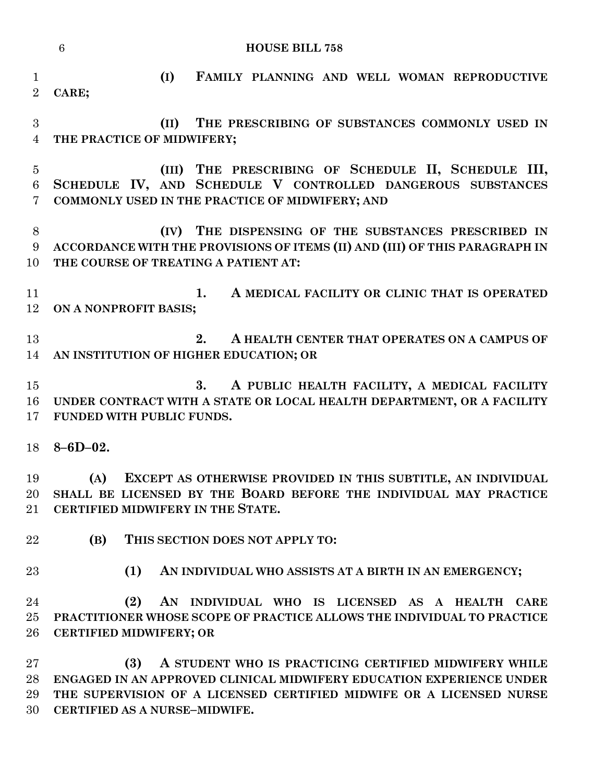|                                  | $6\phantom{.}6$<br><b>HOUSE BILL 758</b>                                                                                                                                                                                                     |
|----------------------------------|----------------------------------------------------------------------------------------------------------------------------------------------------------------------------------------------------------------------------------------------|
| $\mathbf{1}$<br>$\overline{2}$   | (I)<br>FAMILY PLANNING AND WELL WOMAN REPRODUCTIVE<br>CARE;                                                                                                                                                                                  |
| $\overline{3}$<br>$\overline{4}$ | THE PRESCRIBING OF SUBSTANCES COMMONLY USED IN<br>(II)<br>THE PRACTICE OF MIDWIFERY;                                                                                                                                                         |
| $\overline{5}$<br>6<br>7         | (III) THE PRESCRIBING OF SCHEDULE II, SCHEDULE III,<br>SCHEDULE IV, AND SCHEDULE V CONTROLLED DANGEROUS SUBSTANCES<br>COMMONLY USED IN THE PRACTICE OF MIDWIFERY; AND                                                                        |
| 8<br>9<br>10                     | THE DISPENSING OF THE SUBSTANCES PRESCRIBED IN<br>(IV)<br>ACCORDANCE WITH THE PROVISIONS OF ITEMS (II) AND (III) OF THIS PARAGRAPH IN<br>THE COURSE OF TREATING A PATIENT AT:                                                                |
| 11<br>12                         | A MEDICAL FACILITY OR CLINIC THAT IS OPERATED<br>1.<br>ON A NONPROFIT BASIS;                                                                                                                                                                 |
| 13<br>14                         | 2.<br>A HEALTH CENTER THAT OPERATES ON A CAMPUS OF<br>AN INSTITUTION OF HIGHER EDUCATION; OR                                                                                                                                                 |
| 15<br>16<br>17                   | A PUBLIC HEALTH FACILITY, A MEDICAL FACILITY<br>3.<br>UNDER CONTRACT WITH A STATE OR LOCAL HEALTH DEPARTMENT, OR A FACILITY<br>FUNDED WITH PUBLIC FUNDS.                                                                                     |
| 18                               | $8 - 6D - 02.$                                                                                                                                                                                                                               |
| 19<br>20<br>21                   | EXCEPT AS OTHERWISE PROVIDED IN THIS SUBTITLE, AN INDIVIDUAL<br>(A)<br>SHALL BE LICENSED BY THE BOARD BEFORE THE INDIVIDUAL MAY PRACTICE<br>CERTIFIED MIDWIFERY IN THE STATE.                                                                |
| 22                               | (B)<br>THIS SECTION DOES NOT APPLY TO:                                                                                                                                                                                                       |
| 23                               | (1)<br>AN INDIVIDUAL WHO ASSISTS AT A BIRTH IN AN EMERGENCY;                                                                                                                                                                                 |
| 24<br>25<br>26                   | (2)<br>AN INDIVIDUAL WHO IS LICENSED AS A HEALTH CARE<br>PRACTITIONER WHOSE SCOPE OF PRACTICE ALLOWS THE INDIVIDUAL TO PRACTICE<br><b>CERTIFIED MIDWIFERY; OR</b>                                                                            |
| 27<br>28<br>29<br>30             | (3)<br>A STUDENT WHO IS PRACTICING CERTIFIED MIDWIFERY WHILE<br>ENGAGED IN AN APPROVED CLINICAL MIDWIFERY EDUCATION EXPERIENCE UNDER<br>THE SUPERVISION OF A LICENSED CERTIFIED MIDWIFE OR A LICENSED NURSE<br>CERTIFIED AS A NURSE-MIDWIFE. |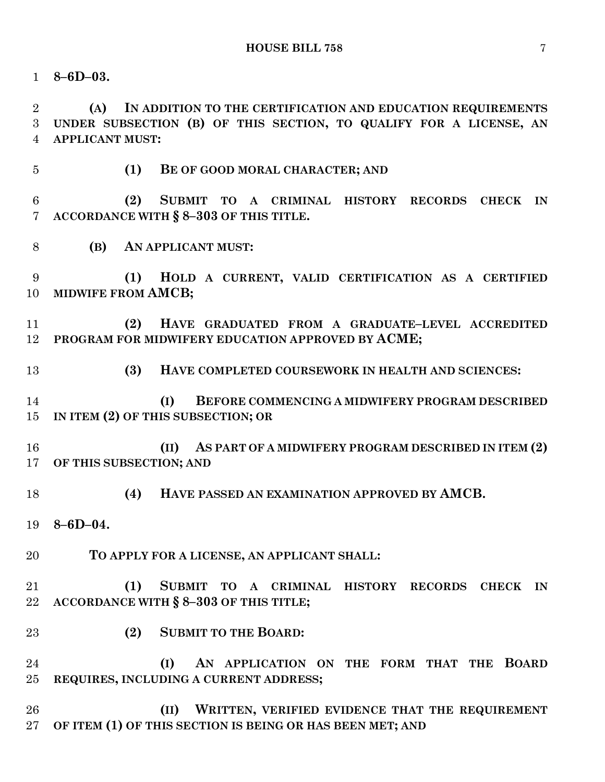**8–6D–03.**

 **(A) IN ADDITION TO THE CERTIFICATION AND EDUCATION REQUIREMENTS UNDER SUBSECTION (B) OF THIS SECTION, TO QUALIFY FOR A LICENSE, AN APPLICANT MUST:**

**(1) BE OF GOOD MORAL CHARACTER; AND**

 **(2) SUBMIT TO A CRIMINAL HISTORY RECORDS CHECK IN ACCORDANCE WITH § 8–303 OF THIS TITLE.**

**(B) AN APPLICANT MUST:**

 **(1) HOLD A CURRENT, VALID CERTIFICATION AS A CERTIFIED MIDWIFE FROM AMCB;** 

 **(2) HAVE GRADUATED FROM A GRADUATE–LEVEL ACCREDITED PROGRAM FOR MIDWIFERY EDUCATION APPROVED BY ACME;**

**(3) HAVE COMPLETED COURSEWORK IN HEALTH AND SCIENCES:**

 **(I) BEFORE COMMENCING A MIDWIFERY PROGRAM DESCRIBED IN ITEM (2) OF THIS SUBSECTION; OR**

 **(II) AS PART OF A MIDWIFERY PROGRAM DESCRIBED IN ITEM (2) OF THIS SUBSECTION; AND**

**(4) HAVE PASSED AN EXAMINATION APPROVED BY AMCB.**

**8–6D–04.**

**TO APPLY FOR A LICENSE, AN APPLICANT SHALL:**

 **(1) SUBMIT TO A CRIMINAL HISTORY RECORDS CHECK IN ACCORDANCE WITH § 8–303 OF THIS TITLE;**

**(2) SUBMIT TO THE BOARD:**

 **(I) AN APPLICATION ON THE FORM THAT THE BOARD REQUIRES, INCLUDING A CURRENT ADDRESS;**

 **(II) WRITTEN, VERIFIED EVIDENCE THAT THE REQUIREMENT OF ITEM (1) OF THIS SECTION IS BEING OR HAS BEEN MET; AND**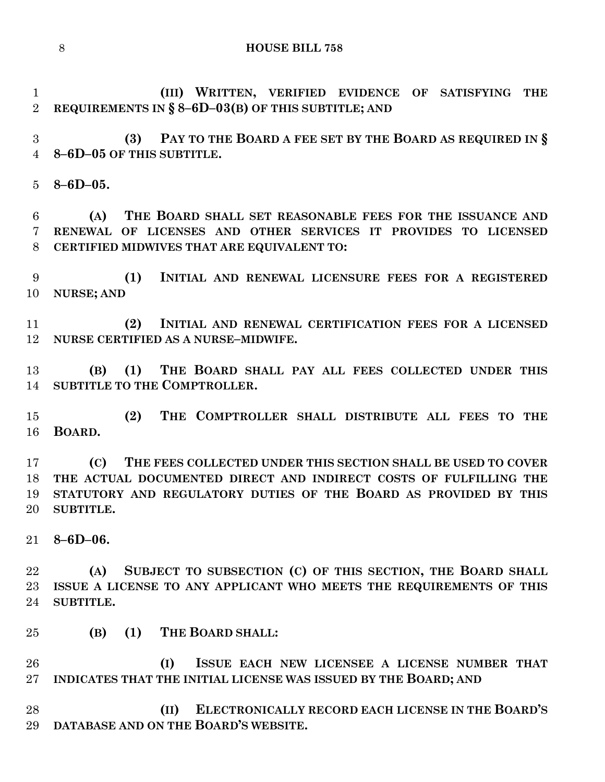**(III) WRITTEN, VERIFIED EVIDENCE OF SATISFYING THE REQUIREMENTS IN § 8–6D–03(B) OF THIS SUBTITLE; AND**

 **(3) PAY TO THE BOARD A FEE SET BY THE BOARD AS REQUIRED IN § 8–6D–05 OF THIS SUBTITLE.**

**8–6D–05.**

 **(A) THE BOARD SHALL SET REASONABLE FEES FOR THE ISSUANCE AND RENEWAL OF LICENSES AND OTHER SERVICES IT PROVIDES TO LICENSED CERTIFIED MIDWIVES THAT ARE EQUIVALENT TO:**

 **(1) INITIAL AND RENEWAL LICENSURE FEES FOR A REGISTERED NURSE; AND**

 **(2) INITIAL AND RENEWAL CERTIFICATION FEES FOR A LICENSED NURSE CERTIFIED AS A NURSE–MIDWIFE.**

 **(B) (1) THE BOARD SHALL PAY ALL FEES COLLECTED UNDER THIS SUBTITLE TO THE COMPTROLLER.**

 **(2) THE COMPTROLLER SHALL DISTRIBUTE ALL FEES TO THE BOARD.**

 **(C) THE FEES COLLECTED UNDER THIS SECTION SHALL BE USED TO COVER THE ACTUAL DOCUMENTED DIRECT AND INDIRECT COSTS OF FULFILLING THE STATUTORY AND REGULATORY DUTIES OF THE BOARD AS PROVIDED BY THIS SUBTITLE.**

**8–6D–06.**

 **(A) SUBJECT TO SUBSECTION (C) OF THIS SECTION, THE BOARD SHALL ISSUE A LICENSE TO ANY APPLICANT WHO MEETS THE REQUIREMENTS OF THIS SUBTITLE.**

**(B) (1) THE BOARD SHALL:**

 **(I) ISSUE EACH NEW LICENSEE A LICENSE NUMBER THAT INDICATES THAT THE INITIAL LICENSE WAS ISSUED BY THE BOARD; AND** 

 **(II) ELECTRONICALLY RECORD EACH LICENSE IN THE BOARD'S DATABASE AND ON THE BOARD'S WEBSITE.**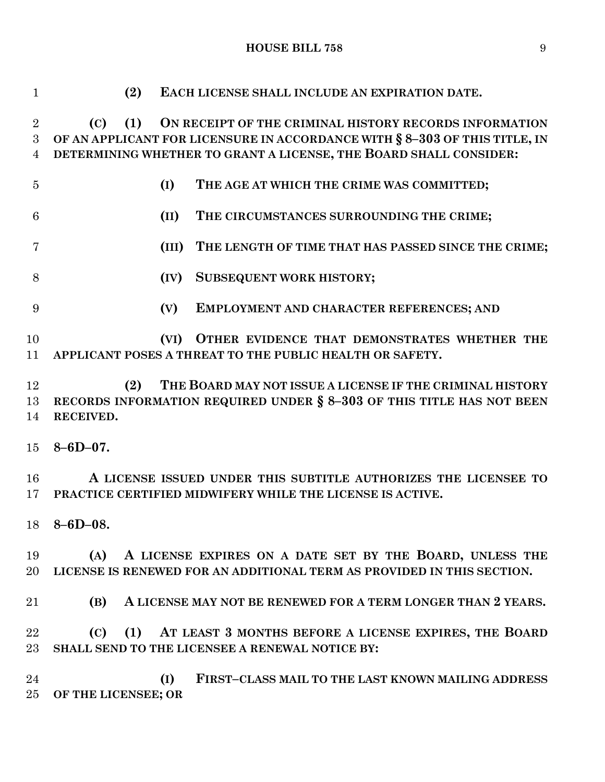**HOUSE BILL 758** 9

| $\mathbf{1}$                          | (2)<br>EACH LICENSE SHALL INCLUDE AN EXPIRATION DATE.                                                                                                                                                                   |
|---------------------------------------|-------------------------------------------------------------------------------------------------------------------------------------------------------------------------------------------------------------------------|
| $\overline{2}$<br>3<br>$\overline{4}$ | (1)<br>ON RECEIPT OF THE CRIMINAL HISTORY RECORDS INFORMATION<br>(C)<br>OF AN APPLICANT FOR LICENSURE IN ACCORDANCE WITH § 8-303 OF THIS TITLE, IN<br>DETERMINING WHETHER TO GRANT A LICENSE, THE BOARD SHALL CONSIDER: |
| $\overline{5}$                        | (I)<br>THE AGE AT WHICH THE CRIME WAS COMMITTED;                                                                                                                                                                        |
| $6\phantom{.}6$                       | (II)<br>THE CIRCUMSTANCES SURROUNDING THE CRIME;                                                                                                                                                                        |
| 7                                     | (III)<br>THE LENGTH OF TIME THAT HAS PASSED SINCE THE CRIME;                                                                                                                                                            |
| 8                                     | <b>SUBSEQUENT WORK HISTORY;</b><br>(IV)                                                                                                                                                                                 |
| 9                                     | (V)<br>EMPLOYMENT AND CHARACTER REFERENCES; AND                                                                                                                                                                         |
| 10<br>11                              | OTHER EVIDENCE THAT DEMONSTRATES WHETHER THE<br>(VI)<br>APPLICANT POSES A THREAT TO THE PUBLIC HEALTH OR SAFETY.                                                                                                        |
| 12                                    | THE BOARD MAY NOT ISSUE A LICENSE IF THE CRIMINAL HISTORY<br>(2)                                                                                                                                                        |
| 13<br>14                              | RECORDS INFORMATION REQUIRED UNDER § 8-303 OF THIS TITLE HAS NOT BEEN<br>RECEIVED.                                                                                                                                      |
| 15 <sup>15</sup>                      | $8 - 6D - 07$ .                                                                                                                                                                                                         |
| 16<br>$17 \,$                         | A LICENSE ISSUED UNDER THIS SUBTITLE AUTHORIZES THE LICENSEE TO<br>PRACTICE CERTIFIED MIDWIFERY WHILE THE LICENSE IS ACTIVE.                                                                                            |
|                                       | $18 \quad 8 - 6D - 08.$                                                                                                                                                                                                 |
| 19<br>$20\,$                          | A LICENSE EXPIRES ON A DATE SET BY THE BOARD, UNLESS THE<br>(A)<br>LICENSE IS RENEWED FOR AN ADDITIONAL TERM AS PROVIDED IN THIS SECTION.                                                                               |
| 21                                    | (B)<br>A LICENSE MAY NOT BE RENEWED FOR A TERM LONGER THAN 2 YEARS.                                                                                                                                                     |
| 22<br>$23\,$                          | (C) (1) AT LEAST 3 MONTHS BEFORE A LICENSE EXPIRES, THE BOARD<br>SHALL SEND TO THE LICENSEE A RENEWAL NOTICE BY:                                                                                                        |
| 24<br>$25\,$                          | (I)<br>FIRST-CLASS MAIL TO THE LAST KNOWN MAILING ADDRESS<br>OF THE LICENSEE; OR                                                                                                                                        |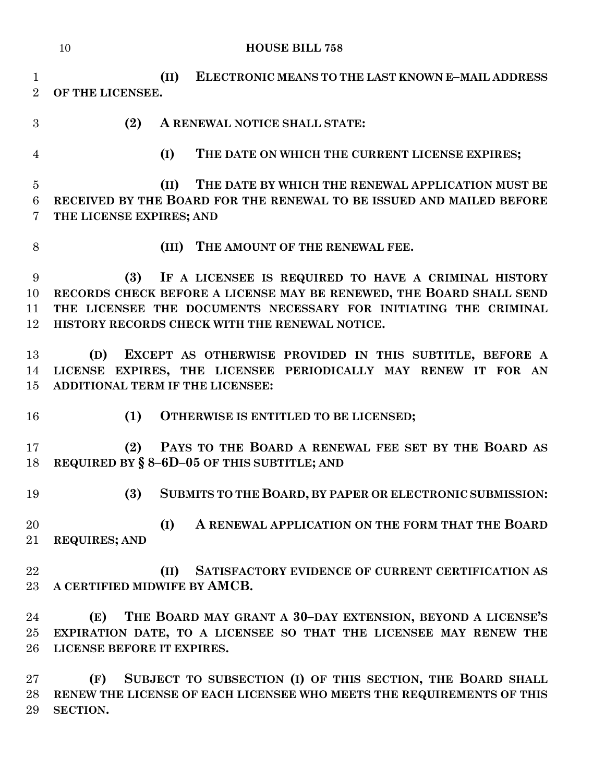|                                        | 10<br><b>HOUSE BILL 758</b>                                                                                                                                                                                                                              |
|----------------------------------------|----------------------------------------------------------------------------------------------------------------------------------------------------------------------------------------------------------------------------------------------------------|
| $\mathbf{1}$<br>$\overline{2}$         | (II)<br>ELECTRONIC MEANS TO THE LAST KNOWN E-MAIL ADDRESS<br>OF THE LICENSEE.                                                                                                                                                                            |
| 3                                      | (2)<br>A RENEWAL NOTICE SHALL STATE:                                                                                                                                                                                                                     |
| $\overline{4}$                         | (I)<br>THE DATE ON WHICH THE CURRENT LICENSE EXPIRES;                                                                                                                                                                                                    |
| $\overline{5}$<br>$6\phantom{.}6$<br>7 | THE DATE BY WHICH THE RENEWAL APPLICATION MUST BE<br>(II)<br>RECEIVED BY THE BOARD FOR THE RENEWAL TO BE ISSUED AND MAILED BEFORE<br>THE LICENSE EXPIRES; AND                                                                                            |
| 8                                      | (III) THE AMOUNT OF THE RENEWAL FEE.                                                                                                                                                                                                                     |
| 9<br>10<br>11<br>12                    | (3)<br>IF A LICENSEE IS REQUIRED TO HAVE A CRIMINAL HISTORY<br>RECORDS CHECK BEFORE A LICENSE MAY BE RENEWED, THE BOARD SHALL SEND<br>THE LICENSEE THE DOCUMENTS NECESSARY FOR INITIATING THE CRIMINAL<br>HISTORY RECORDS CHECK WITH THE RENEWAL NOTICE. |
| 13<br>14<br>15                         | EXCEPT AS OTHERWISE PROVIDED IN THIS SUBTITLE, BEFORE A<br>(D)<br>LICENSE EXPIRES, THE LICENSEE PERIODICALLY MAY RENEW IT FOR AN<br>ADDITIONAL TERM IF THE LICENSEE:                                                                                     |
| 16                                     | (1)<br>OTHERWISE IS ENTITLED TO BE LICENSED;                                                                                                                                                                                                             |
| 17<br>18                               | PAYS TO THE BOARD A RENEWAL FEE SET BY THE BOARD AS<br>(2)<br>REQUIRED BY § 8-6D-05 OF THIS SUBTITLE; AND                                                                                                                                                |
| 19                                     | (3)<br>SUBMITS TO THE BOARD, BY PAPER OR ELECTRONIC SUBMISSION:                                                                                                                                                                                          |
| 20<br>21                               | (I)<br>A RENEWAL APPLICATION ON THE FORM THAT THE BOARD<br><b>REQUIRES; AND</b>                                                                                                                                                                          |
| 22<br>23                               | SATISFACTORY EVIDENCE OF CURRENT CERTIFICATION AS<br>(II)<br>A CERTIFIED MIDWIFE BY AMCB.                                                                                                                                                                |
| 24<br>25<br>26                         | THE BOARD MAY GRANT A 30-DAY EXTENSION, BEYOND A LICENSE'S<br>(E)<br>EXPIRATION DATE, TO A LICENSEE SO THAT THE LICENSEE MAY RENEW THE<br>LICENSE BEFORE IT EXPIRES.                                                                                     |
| 27<br>28                               | SUBJECT TO SUBSECTION (I) OF THIS SECTION, THE BOARD SHALL<br>(F)<br>RENEW THE LICENSE OF EACH LICENSEE WHO MEETS THE REQUIREMENTS OF THIS                                                                                                               |

**SECTION.**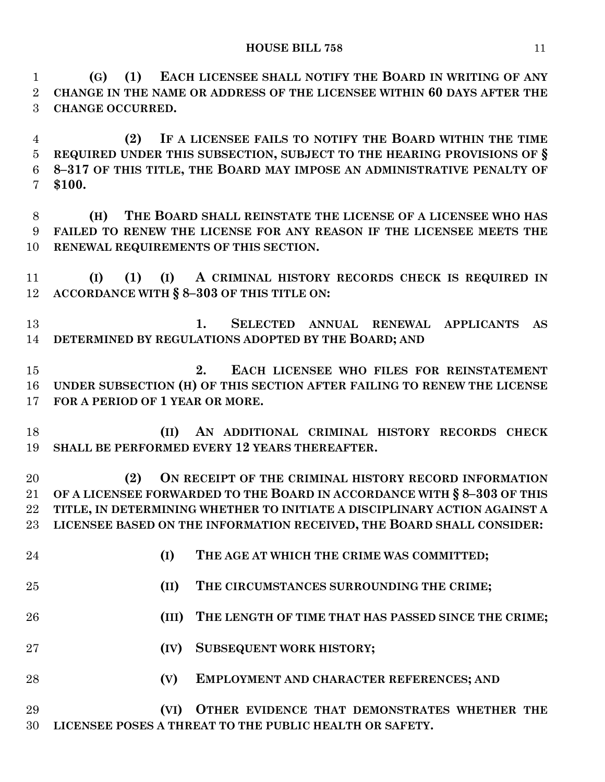**(G) (1) EACH LICENSEE SHALL NOTIFY THE BOARD IN WRITING OF ANY CHANGE IN THE NAME OR ADDRESS OF THE LICENSEE WITHIN 60 DAYS AFTER THE CHANGE OCCURRED.**

 **(2) IF A LICENSEE FAILS TO NOTIFY THE BOARD WITHIN THE TIME REQUIRED UNDER THIS SUBSECTION, SUBJECT TO THE HEARING PROVISIONS OF § 8–317 OF THIS TITLE, THE BOARD MAY IMPOSE AN ADMINISTRATIVE PENALTY OF \$100.**

 **(H) THE BOARD SHALL REINSTATE THE LICENSE OF A LICENSEE WHO HAS FAILED TO RENEW THE LICENSE FOR ANY REASON IF THE LICENSEE MEETS THE RENEWAL REQUIREMENTS OF THIS SECTION.**

 **(I) (1) (I) A CRIMINAL HISTORY RECORDS CHECK IS REQUIRED IN ACCORDANCE WITH § 8–303 OF THIS TITLE ON:**

 **1. SELECTED ANNUAL RENEWAL APPLICANTS AS DETERMINED BY REGULATIONS ADOPTED BY THE BOARD; AND**

 **2. EACH LICENSEE WHO FILES FOR REINSTATEMENT UNDER SUBSECTION (H) OF THIS SECTION AFTER FAILING TO RENEW THE LICENSE FOR A PERIOD OF 1 YEAR OR MORE.**

 **(II) AN ADDITIONAL CRIMINAL HISTORY RECORDS CHECK SHALL BE PERFORMED EVERY 12 YEARS THEREAFTER.**

 **(2) ON RECEIPT OF THE CRIMINAL HISTORY RECORD INFORMATION OF A LICENSEE FORWARDED TO THE BOARD IN ACCORDANCE WITH § 8–303 OF THIS TITLE, IN DETERMINING WHETHER TO INITIATE A DISCIPLINARY ACTION AGAINST A LICENSEE BASED ON THE INFORMATION RECEIVED, THE BOARD SHALL CONSIDER:**

- **(I) THE AGE AT WHICH THE CRIME WAS COMMITTED;**
- **(II) THE CIRCUMSTANCES SURROUNDING THE CRIME;**
- **(III) THE LENGTH OF TIME THAT HAS PASSED SINCE THE CRIME;**
- **(IV) SUBSEQUENT WORK HISTORY;**
- **(V) EMPLOYMENT AND CHARACTER REFERENCES; AND**

 **(VI) OTHER EVIDENCE THAT DEMONSTRATES WHETHER THE LICENSEE POSES A THREAT TO THE PUBLIC HEALTH OR SAFETY.**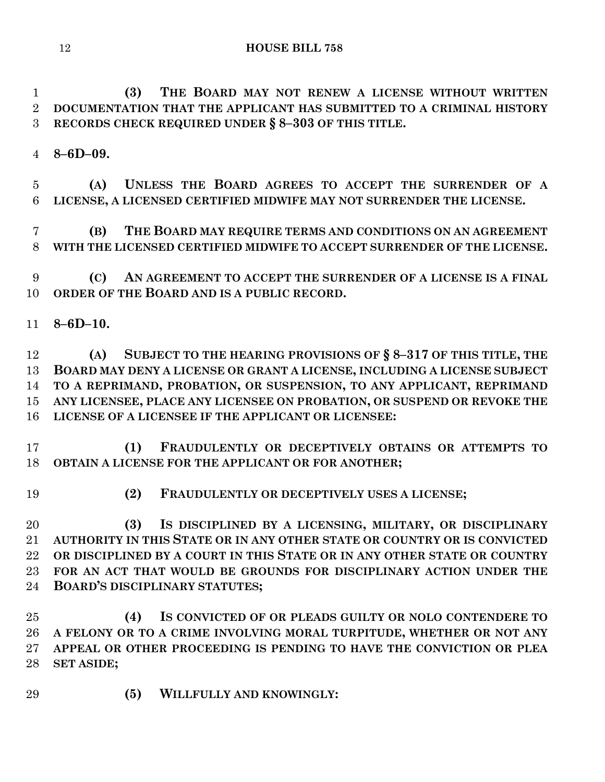**(3) THE BOARD MAY NOT RENEW A LICENSE WITHOUT WRITTEN DOCUMENTATION THAT THE APPLICANT HAS SUBMITTED TO A CRIMINAL HISTORY RECORDS CHECK REQUIRED UNDER § 8–303 OF THIS TITLE.**

**8–6D–09.**

 **(A) UNLESS THE BOARD AGREES TO ACCEPT THE SURRENDER OF A LICENSE, A LICENSED CERTIFIED MIDWIFE MAY NOT SURRENDER THE LICENSE.**

 **(B) THE BOARD MAY REQUIRE TERMS AND CONDITIONS ON AN AGREEMENT WITH THE LICENSED CERTIFIED MIDWIFE TO ACCEPT SURRENDER OF THE LICENSE.**

 **(C) AN AGREEMENT TO ACCEPT THE SURRENDER OF A LICENSE IS A FINAL ORDER OF THE BOARD AND IS A PUBLIC RECORD.**

**8–6D–10.**

 **(A) SUBJECT TO THE HEARING PROVISIONS OF § 8–317 OF THIS TITLE, THE BOARD MAY DENY A LICENSE OR GRANT A LICENSE, INCLUDING A LICENSE SUBJECT TO A REPRIMAND, PROBATION, OR SUSPENSION, TO ANY APPLICANT, REPRIMAND ANY LICENSEE, PLACE ANY LICENSEE ON PROBATION, OR SUSPEND OR REVOKE THE LICENSE OF A LICENSEE IF THE APPLICANT OR LICENSEE:**

 **(1) FRAUDULENTLY OR DECEPTIVELY OBTAINS OR ATTEMPTS TO OBTAIN A LICENSE FOR THE APPLICANT OR FOR ANOTHER;**

**(2) FRAUDULENTLY OR DECEPTIVELY USES A LICENSE;**

 **(3) IS DISCIPLINED BY A LICENSING, MILITARY, OR DISCIPLINARY AUTHORITY IN THIS STATE OR IN ANY OTHER STATE OR COUNTRY OR IS CONVICTED OR DISCIPLINED BY A COURT IN THIS STATE OR IN ANY OTHER STATE OR COUNTRY FOR AN ACT THAT WOULD BE GROUNDS FOR DISCIPLINARY ACTION UNDER THE BOARD'S DISCIPLINARY STATUTES;**

 **(4) IS CONVICTED OF OR PLEADS GUILTY OR NOLO CONTENDERE TO A FELONY OR TO A CRIME INVOLVING MORAL TURPITUDE, WHETHER OR NOT ANY APPEAL OR OTHER PROCEEDING IS PENDING TO HAVE THE CONVICTION OR PLEA SET ASIDE;**

**(5) WILLFULLY AND KNOWINGLY:**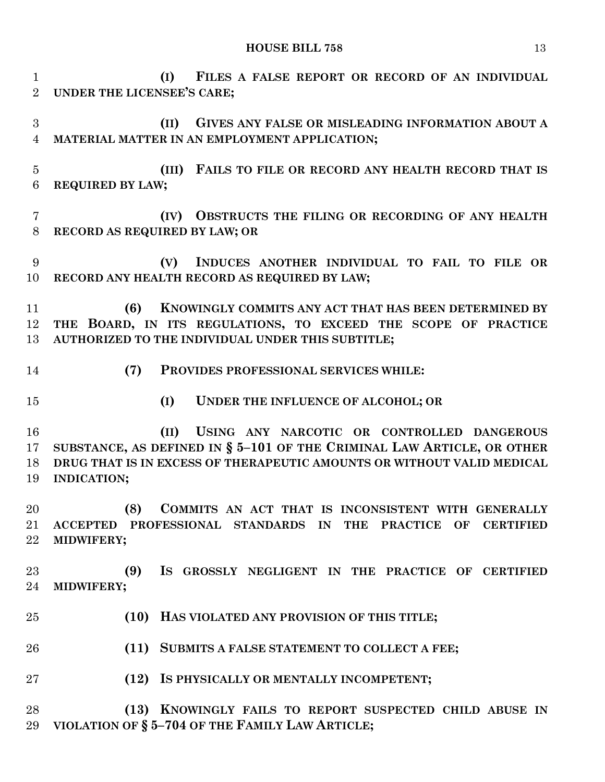**(I) FILES A FALSE REPORT OR RECORD OF AN INDIVIDUAL UNDER THE LICENSEE'S CARE; (II) GIVES ANY FALSE OR MISLEADING INFORMATION ABOUT A MATERIAL MATTER IN AN EMPLOYMENT APPLICATION; (III) FAILS TO FILE OR RECORD ANY HEALTH RECORD THAT IS REQUIRED BY LAW; (IV) OBSTRUCTS THE FILING OR RECORDING OF ANY HEALTH RECORD AS REQUIRED BY LAW; OR (V) INDUCES ANOTHER INDIVIDUAL TO FAIL TO FILE OR RECORD ANY HEALTH RECORD AS REQUIRED BY LAW; (6) KNOWINGLY COMMITS ANY ACT THAT HAS BEEN DETERMINED BY THE BOARD, IN ITS REGULATIONS, TO EXCEED THE SCOPE OF PRACTICE AUTHORIZED TO THE INDIVIDUAL UNDER THIS SUBTITLE; (7) PROVIDES PROFESSIONAL SERVICES WHILE: (I) UNDER THE INFLUENCE OF ALCOHOL; OR (II) USING ANY NARCOTIC OR CONTROLLED DANGEROUS SUBSTANCE, AS DEFINED IN § 5–101 OF THE CRIMINAL LAW ARTICLE, OR OTHER DRUG THAT IS IN EXCESS OF THERAPEUTIC AMOUNTS OR WITHOUT VALID MEDICAL INDICATION; (8) COMMITS AN ACT THAT IS INCONSISTENT WITH GENERALLY ACCEPTED PROFESSIONAL STANDARDS IN THE PRACTICE OF CERTIFIED MIDWIFERY; (9) IS GROSSLY NEGLIGENT IN THE PRACTICE OF CERTIFIED MIDWIFERY; (10) HAS VIOLATED ANY PROVISION OF THIS TITLE; (11) SUBMITS A FALSE STATEMENT TO COLLECT A FEE; (12) IS PHYSICALLY OR MENTALLY INCOMPETENT; (13) KNOWINGLY FAILS TO REPORT SUSPECTED CHILD ABUSE IN VIOLATION OF § 5–704 OF THE FAMILY LAW ARTICLE;**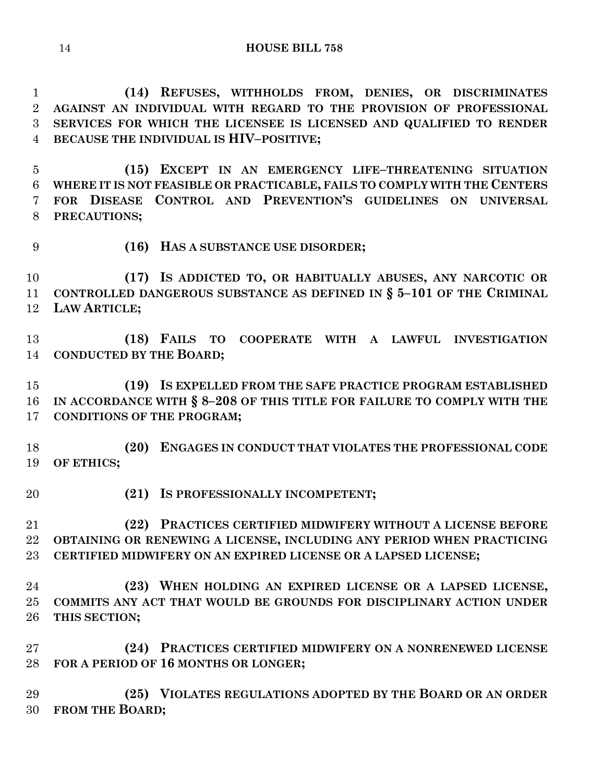**(14) REFUSES, WITHHOLDS FROM, DENIES, OR DISCRIMINATES AGAINST AN INDIVIDUAL WITH REGARD TO THE PROVISION OF PROFESSIONAL SERVICES FOR WHICH THE LICENSEE IS LICENSED AND QUALIFIED TO RENDER BECAUSE THE INDIVIDUAL IS HIV–POSITIVE;**

 **(15) EXCEPT IN AN EMERGENCY LIFE–THREATENING SITUATION WHERE IT IS NOT FEASIBLE OR PRACTICABLE, FAILS TO COMPLY WITH THE CENTERS FOR DISEASE CONTROL AND PREVENTION'S GUIDELINES ON UNIVERSAL PRECAUTIONS;**

**(16) HAS A SUBSTANCE USE DISORDER;**

 **(17) IS ADDICTED TO, OR HABITUALLY ABUSES, ANY NARCOTIC OR CONTROLLED DANGEROUS SUBSTANCE AS DEFINED IN § 5–101 OF THE CRIMINAL LAW ARTICLE;**

 **(18) FAILS TO COOPERATE WITH A LAWFUL INVESTIGATION CONDUCTED BY THE BOARD;**

 **(19) IS EXPELLED FROM THE SAFE PRACTICE PROGRAM ESTABLISHED IN ACCORDANCE WITH § 8–208 OF THIS TITLE FOR FAILURE TO COMPLY WITH THE CONDITIONS OF THE PROGRAM;**

 **(20) ENGAGES IN CONDUCT THAT VIOLATES THE PROFESSIONAL CODE OF ETHICS;**

**(21) IS PROFESSIONALLY INCOMPETENT;**

 **(22) PRACTICES CERTIFIED MIDWIFERY WITHOUT A LICENSE BEFORE OBTAINING OR RENEWING A LICENSE, INCLUDING ANY PERIOD WHEN PRACTICING CERTIFIED MIDWIFERY ON AN EXPIRED LICENSE OR A LAPSED LICENSE;**

 **(23) WHEN HOLDING AN EXPIRED LICENSE OR A LAPSED LICENSE, COMMITS ANY ACT THAT WOULD BE GROUNDS FOR DISCIPLINARY ACTION UNDER THIS SECTION;**

 **(24) PRACTICES CERTIFIED MIDWIFERY ON A NONRENEWED LICENSE FOR A PERIOD OF 16 MONTHS OR LONGER;**

 **(25) VIOLATES REGULATIONS ADOPTED BY THE BOARD OR AN ORDER FROM THE BOARD;**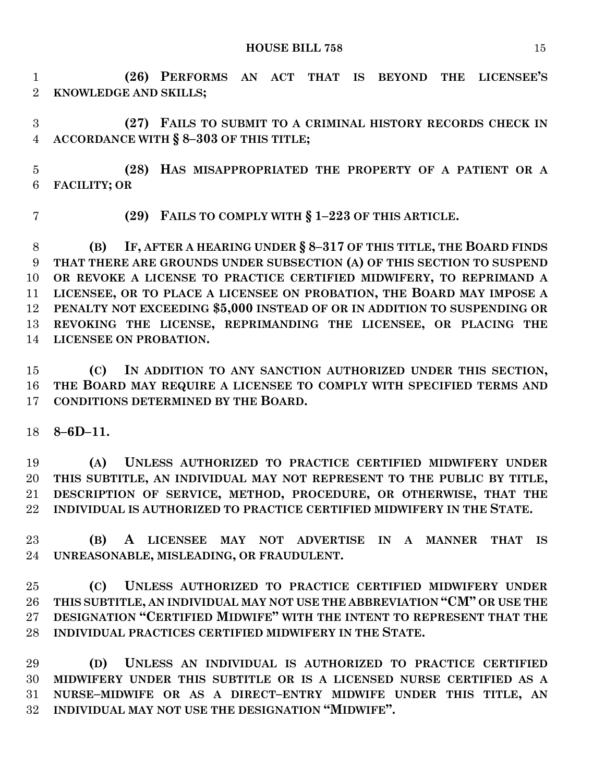**(26) PERFORMS AN ACT THAT IS BEYOND THE LICENSEE'S KNOWLEDGE AND SKILLS;**

 **(27) FAILS TO SUBMIT TO A CRIMINAL HISTORY RECORDS CHECK IN ACCORDANCE WITH § 8–303 OF THIS TITLE;**

 **(28) HAS MISAPPROPRIATED THE PROPERTY OF A PATIENT OR A FACILITY; OR** 

**(29) FAILS TO COMPLY WITH § 1–223 OF THIS ARTICLE.**

 **(B) IF, AFTER A HEARING UNDER § 8–317 OF THIS TITLE, THE BOARD FINDS THAT THERE ARE GROUNDS UNDER SUBSECTION (A) OF THIS SECTION TO SUSPEND OR REVOKE A LICENSE TO PRACTICE CERTIFIED MIDWIFERY, TO REPRIMAND A LICENSEE, OR TO PLACE A LICENSEE ON PROBATION, THE BOARD MAY IMPOSE A PENALTY NOT EXCEEDING \$5,000 INSTEAD OF OR IN ADDITION TO SUSPENDING OR REVOKING THE LICENSE, REPRIMANDING THE LICENSEE, OR PLACING THE LICENSEE ON PROBATION.**

 **(C) IN ADDITION TO ANY SANCTION AUTHORIZED UNDER THIS SECTION, THE BOARD MAY REQUIRE A LICENSEE TO COMPLY WITH SPECIFIED TERMS AND CONDITIONS DETERMINED BY THE BOARD.**

**8–6D–11.**

 **(A) UNLESS AUTHORIZED TO PRACTICE CERTIFIED MIDWIFERY UNDER THIS SUBTITLE, AN INDIVIDUAL MAY NOT REPRESENT TO THE PUBLIC BY TITLE, DESCRIPTION OF SERVICE, METHOD, PROCEDURE, OR OTHERWISE, THAT THE INDIVIDUAL IS AUTHORIZED TO PRACTICE CERTIFIED MIDWIFERY IN THE STATE.**

 **(B) A LICENSEE MAY NOT ADVERTISE IN A MANNER THAT IS UNREASONABLE, MISLEADING, OR FRAUDULENT.**

 **(C) UNLESS AUTHORIZED TO PRACTICE CERTIFIED MIDWIFERY UNDER THIS SUBTITLE, AN INDIVIDUAL MAY NOT USE THE ABBREVIATION "CM" OR USE THE DESIGNATION "CERTIFIED MIDWIFE" WITH THE INTENT TO REPRESENT THAT THE INDIVIDUAL PRACTICES CERTIFIED MIDWIFERY IN THE STATE.**

 **(D) UNLESS AN INDIVIDUAL IS AUTHORIZED TO PRACTICE CERTIFIED MIDWIFERY UNDER THIS SUBTITLE OR IS A LICENSED NURSE CERTIFIED AS A NURSE–MIDWIFE OR AS A DIRECT–ENTRY MIDWIFE UNDER THIS TITLE, AN INDIVIDUAL MAY NOT USE THE DESIGNATION "MIDWIFE".**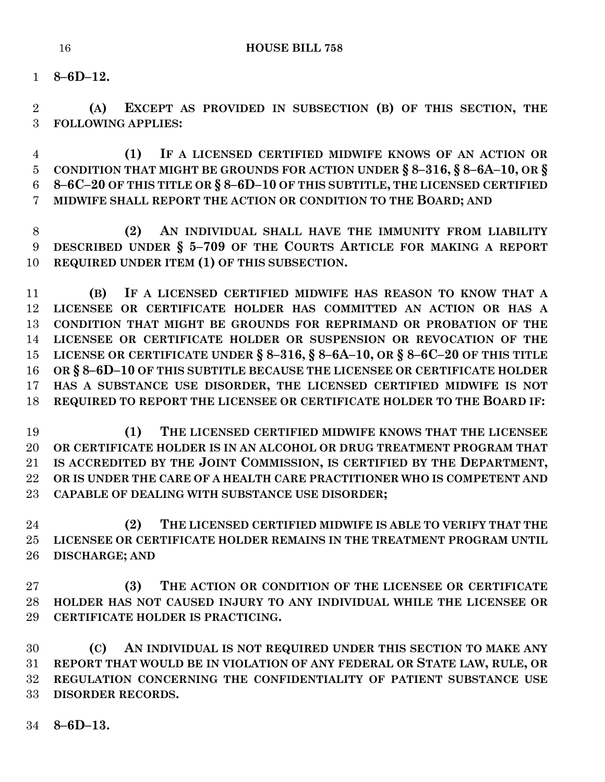**8–6D–12.**

 **(A) EXCEPT AS PROVIDED IN SUBSECTION (B) OF THIS SECTION, THE FOLLOWING APPLIES:**

 **(1) IF A LICENSED CERTIFIED MIDWIFE KNOWS OF AN ACTION OR CONDITION THAT MIGHT BE GROUNDS FOR ACTION UNDER § 8–316, § 8–6A–10, OR § 8–6C–20 OF THIS TITLE OR § 8–6D–10 OF THIS SUBTITLE, THE LICENSED CERTIFIED MIDWIFE SHALL REPORT THE ACTION OR CONDITION TO THE BOARD; AND** 

 **(2) AN INDIVIDUAL SHALL HAVE THE IMMUNITY FROM LIABILITY DESCRIBED UNDER § 5–709 OF THE COURTS ARTICLE FOR MAKING A REPORT REQUIRED UNDER ITEM (1) OF THIS SUBSECTION.**

 **(B) IF A LICENSED CERTIFIED MIDWIFE HAS REASON TO KNOW THAT A LICENSEE OR CERTIFICATE HOLDER HAS COMMITTED AN ACTION OR HAS A CONDITION THAT MIGHT BE GROUNDS FOR REPRIMAND OR PROBATION OF THE LICENSEE OR CERTIFICATE HOLDER OR SUSPENSION OR REVOCATION OF THE**  15 LICENSE OR CERTIFICATE UNDER § 8-316, § 8-6A-10, OR § 8-6C-20 OF THIS TITLE **OR § 8–6D–10 OF THIS SUBTITLE BECAUSE THE LICENSEE OR CERTIFICATE HOLDER HAS A SUBSTANCE USE DISORDER, THE LICENSED CERTIFIED MIDWIFE IS NOT REQUIRED TO REPORT THE LICENSEE OR CERTIFICATE HOLDER TO THE BOARD IF:**

 **(1) THE LICENSED CERTIFIED MIDWIFE KNOWS THAT THE LICENSEE OR CERTIFICATE HOLDER IS IN AN ALCOHOL OR DRUG TREATMENT PROGRAM THAT IS ACCREDITED BY THE JOINT COMMISSION, IS CERTIFIED BY THE DEPARTMENT, OR IS UNDER THE CARE OF A HEALTH CARE PRACTITIONER WHO IS COMPETENT AND CAPABLE OF DEALING WITH SUBSTANCE USE DISORDER;**

 **(2) THE LICENSED CERTIFIED MIDWIFE IS ABLE TO VERIFY THAT THE LICENSEE OR CERTIFICATE HOLDER REMAINS IN THE TREATMENT PROGRAM UNTIL DISCHARGE; AND** 

 **(3) THE ACTION OR CONDITION OF THE LICENSEE OR CERTIFICATE HOLDER HAS NOT CAUSED INJURY TO ANY INDIVIDUAL WHILE THE LICENSEE OR CERTIFICATE HOLDER IS PRACTICING.**

 **(C) AN INDIVIDUAL IS NOT REQUIRED UNDER THIS SECTION TO MAKE ANY REPORT THAT WOULD BE IN VIOLATION OF ANY FEDERAL OR STATE LAW, RULE, OR REGULATION CONCERNING THE CONFIDENTIALITY OF PATIENT SUBSTANCE USE DISORDER RECORDS.**

**8–6D–13.**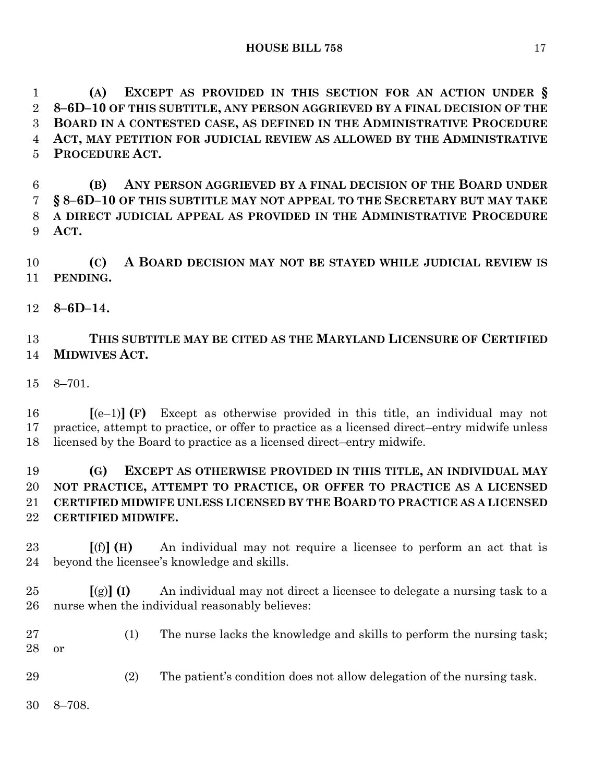**(A) EXCEPT AS PROVIDED IN THIS SECTION FOR AN ACTION UNDER § 8–6D–10 OF THIS SUBTITLE, ANY PERSON AGGRIEVED BY A FINAL DECISION OF THE BOARD IN A CONTESTED CASE, AS DEFINED IN THE ADMINISTRATIVE PROCEDURE ACT, MAY PETITION FOR JUDICIAL REVIEW AS ALLOWED BY THE ADMINISTRATIVE PROCEDURE ACT.**

 **(B) ANY PERSON AGGRIEVED BY A FINAL DECISION OF THE BOARD UNDER § 8–6D–10 OF THIS SUBTITLE MAY NOT APPEAL TO THE SECRETARY BUT MAY TAKE A DIRECT JUDICIAL APPEAL AS PROVIDED IN THE ADMINISTRATIVE PROCEDURE ACT.**

 **(C) A BOARD DECISION MAY NOT BE STAYED WHILE JUDICIAL REVIEW IS PENDING.**

**8–6D–14.**

# **THIS SUBTITLE MAY BE CITED AS THE MARYLAND LICENSURE OF CERTIFIED MIDWIVES ACT.**

8–701.

 **[**(e–1)**] (F)** Except as otherwise provided in this title, an individual may not practice, attempt to practice, or offer to practice as a licensed direct–entry midwife unless licensed by the Board to practice as a licensed direct–entry midwife.

## **(G) EXCEPT AS OTHERWISE PROVIDED IN THIS TITLE, AN INDIVIDUAL MAY NOT PRACTICE, ATTEMPT TO PRACTICE, OR OFFER TO PRACTICE AS A LICENSED CERTIFIED MIDWIFE UNLESS LICENSED BY THE BOARD TO PRACTICE AS A LICENSED CERTIFIED MIDWIFE.**

 **[**(f)**] (H)** An individual may not require a licensee to perform an act that is beyond the licensee's knowledge and skills.

 **[**(g)**] (I)** An individual may not direct a licensee to delegate a nursing task to a nurse when the individual reasonably believes:

- (1) The nurse lacks the knowledge and skills to perform the nursing task; or
- (2) The patient's condition does not allow delegation of the nursing task.
- 8–708.